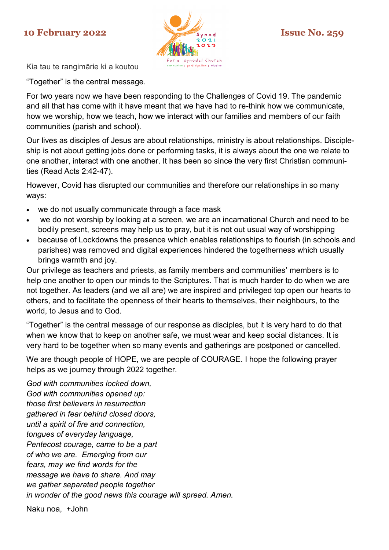## **10 February 2022 Issue No. 259**



Kia tau te rangimārie ki a koutou

"Together" is the central message.

For two years now we have been responding to the Challenges of Covid 19. The pandemic and all that has come with it have meant that we have had to re-think how we communicate, how we worship, how we teach, how we interact with our families and members of our faith communities (parish and school).

Our lives as disciples of Jesus are about relationships, ministry is about relationships. Discipleship is not about getting jobs done or performing tasks, it is always about the one we relate to one another, interact with one another. It has been so since the very first Christian communities (Read Acts 2:42-47).

However, Covid has disrupted our communities and therefore our relationships in so many ways:

- we do not usually communicate through a face mask
- we do not worship by looking at a screen, we are an incarnational Church and need to be bodily present, screens may help us to pray, but it is not out usual way of worshipping
- because of Lockdowns the presence which enables relationships to flourish (in schools and parishes) was removed and digital experiences hindered the togetherness which usually brings warmth and joy.

Our privilege as teachers and priests, as family members and communities' members is to help one another to open our minds to the Scriptures. That is much harder to do when we are not together. As leaders (and we all are) we are inspired and privileged top open our hearts to others, and to facilitate the openness of their hearts to themselves, their neighbours, to the world, to Jesus and to God.

"Together" is the central message of our response as disciples, but it is very hard to do that when we know that to keep on another safe, we must wear and keep social distances. It is very hard to be together when so many events and gatherings are postponed or cancelled.

We are though people of HOPE, we are people of COURAGE. I hope the following prayer helps as we journey through 2022 together.

*God with communities locked down, God with communities opened up: those first believers in resurrection gathered in fear behind closed doors, until a spirit of fire and connection, tongues of everyday language, Pentecost courage, came to be a part of who we are. Emerging from our fears, may we find words for the message we have to share. And may we gather separated people together in wonder of the good news this courage will spread. Amen.* 

Naku noa, +John